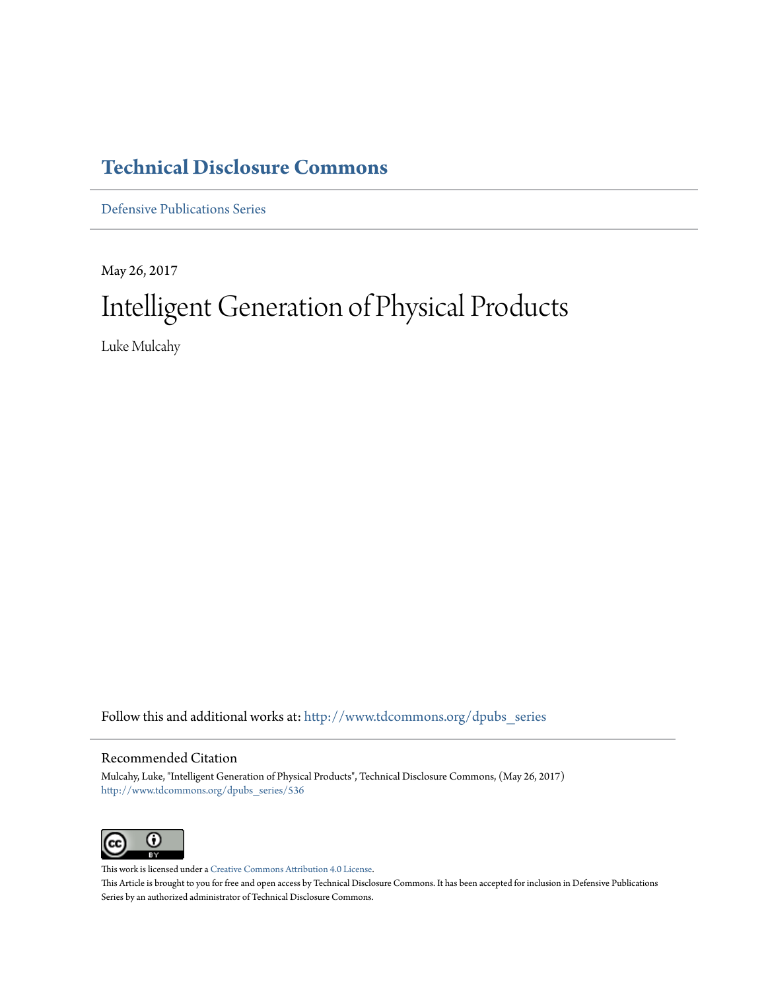# **[Technical Disclosure Commons](http://www.tdcommons.org?utm_source=www.tdcommons.org%2Fdpubs_series%2F536&utm_medium=PDF&utm_campaign=PDFCoverPages)**

[Defensive Publications Series](http://www.tdcommons.org/dpubs_series?utm_source=www.tdcommons.org%2Fdpubs_series%2F536&utm_medium=PDF&utm_campaign=PDFCoverPages)

May 26, 2017 Intelligent Generation of Physical Products

Luke Mulcahy

Follow this and additional works at: [http://www.tdcommons.org/dpubs\\_series](http://www.tdcommons.org/dpubs_series?utm_source=www.tdcommons.org%2Fdpubs_series%2F536&utm_medium=PDF&utm_campaign=PDFCoverPages)

#### Recommended Citation

Mulcahy, Luke, "Intelligent Generation of Physical Products", Technical Disclosure Commons, (May 26, 2017) [http://www.tdcommons.org/dpubs\\_series/536](http://www.tdcommons.org/dpubs_series/536?utm_source=www.tdcommons.org%2Fdpubs_series%2F536&utm_medium=PDF&utm_campaign=PDFCoverPages)



This work is licensed under a [Creative Commons Attribution 4.0 License.](http://creativecommons.org/licenses/by/4.0/deed.en_US) This Article is brought to you for free and open access by Technical Disclosure Commons. It has been accepted for inclusion in Defensive Publications Series by an authorized administrator of Technical Disclosure Commons.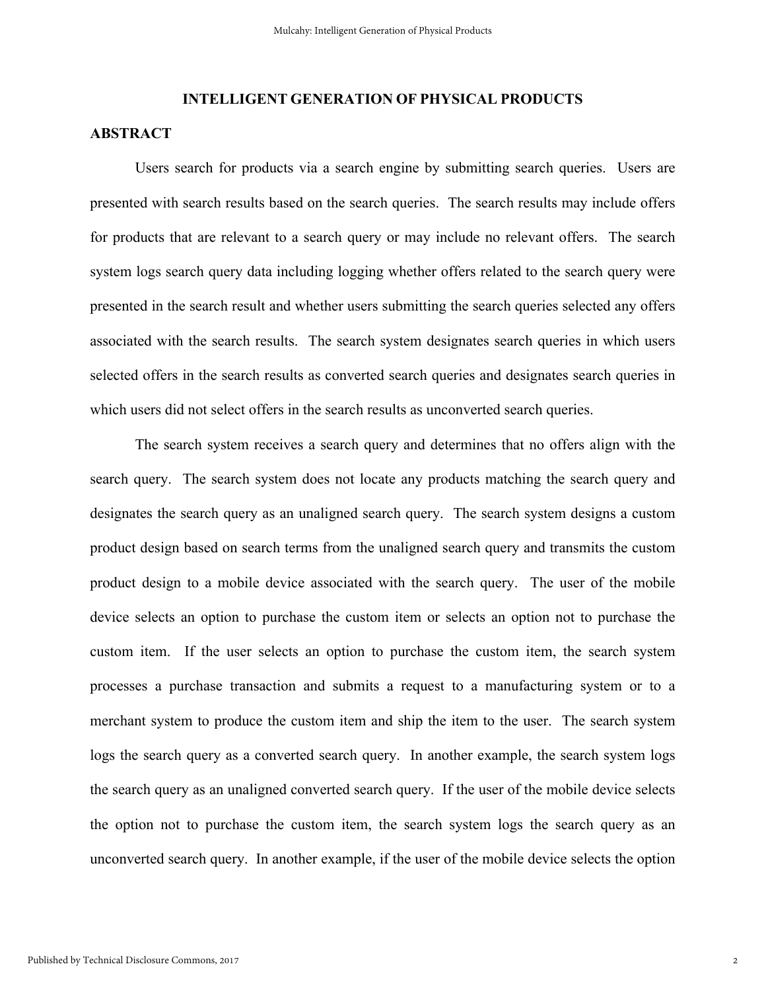## **INTELLIGENT GENERATION OF PHYSICAL PRODUCTS**

### **ABSTRACT**

Users search for products via a search engine by submitting search queries. Users are presented with search results based on the search queries. The search results may include offers for products that are relevant to a search query or may include no relevant offers. The search system logs search query data including logging whether offers related to the search query were presented in the search result and whether users submitting the search queries selected any offers associated with the search results. The search system designates search queries in which users selected offers in the search results as converted search queries and designates search queries in which users did not select offers in the search results as unconverted search queries.

The search system receives a search query and determines that no offers align with the search query. The search system does not locate any products matching the search query and designates the search query as an unaligned search query. The search system designs a custom product design based on search terms from the unaligned search query and transmits the custom product design to a mobile device associated with the search query. The user of the mobile device selects an option to purchase the custom item or selects an option not to purchase the custom item. If the user selects an option to purchase the custom item, the search system processes a purchase transaction and submits a request to a manufacturing system or to a merchant system to produce the custom item and ship the item to the user. The search system logs the search query as a converted search query. In another example, the search system logs the search query as an unaligned converted search query. If the user of the mobile device selects the option not to purchase the custom item, the search system logs the search query as an unconverted search query. In another example, if the user of the mobile device selects the option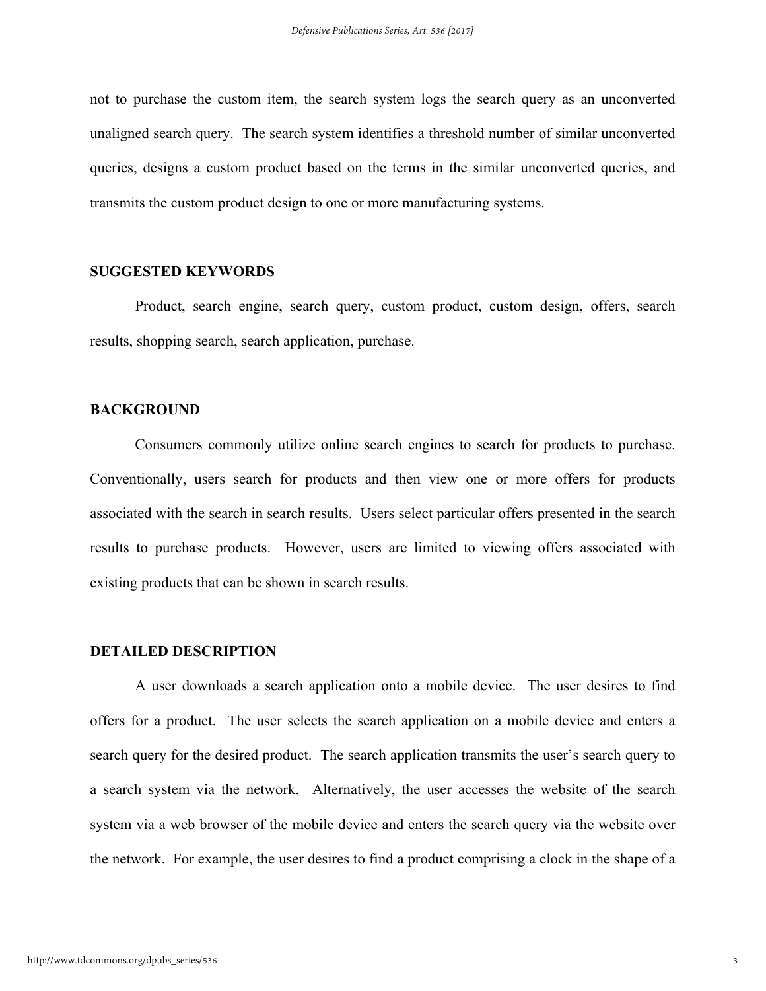not to purchase the custom item, the search system logs the search query as an unconverted unaligned search query. The search system identifies a threshold number of similar unconverted queries, designs a custom product based on the terms in the similar unconverted queries, and transmits the custom product design to one or more manufacturing systems.

#### **SUGGESTED KEYWORDS**

Product, search engine, search query, custom product, custom design, offers, search results, shopping search, search application, purchase.

#### **BACKGROUND**

Consumers commonly utilize online search engines to search for products to purchase. Conventionally, users search for products and then view one or more offers for products associated with the search in search results. Users select particular offers presented in the search results to purchase products. However, users are limited to viewing offers associated with existing products that can be shown in search results.

#### **DETAILED DESCRIPTION**

A user downloads a search application onto a mobile device. The user desires to find offers for a product. The user selects the search application on a mobile device and enters a search query for the desired product. The search application transmits the user's search query to a search system via the network. Alternatively, the user accesses the website of the search system via a web browser of the mobile device and enters the search query via the website over the network. For example, the user desires to find a product comprising a clock in the shape of a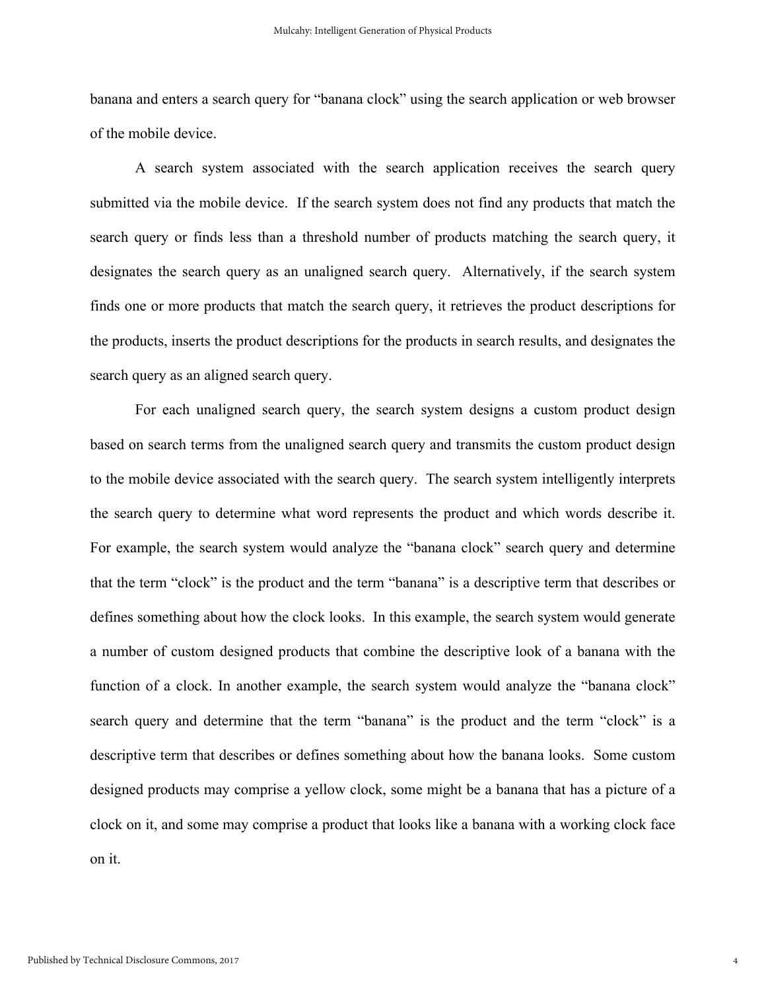banana and enters a search query for "banana clock" using the search application or web browser of the mobile device.

A search system associated with the search application receives the search query submitted via the mobile device. If the search system does not find any products that match the search query or finds less than a threshold number of products matching the search query, it designates the search query as an unaligned search query. Alternatively, if the search system finds one or more products that match the search query, it retrieves the product descriptions for the products, inserts the product descriptions for the products in search results, and designates the search query as an aligned search query.

For each unaligned search query, the search system designs a custom product design based on search terms from the unaligned search query and transmits the custom product design to the mobile device associated with the search query. The search system intelligently interprets the search query to determine what word represents the product and which words describe it. For example, the search system would analyze the "banana clock" search query and determine that the term "clock" is the product and the term "banana" is a descriptive term that describes or defines something about how the clock looks. In this example, the search system would generate a number of custom designed products that combine the descriptive look of a banana with the function of a clock. In another example, the search system would analyze the "banana clock" search query and determine that the term "banana" is the product and the term "clock" is a descriptive term that describes or defines something about how the banana looks. Some custom designed products may comprise a yellow clock, some might be a banana that has a picture of a clock on it, and some may comprise a product that looks like a banana with a working clock face on it.

4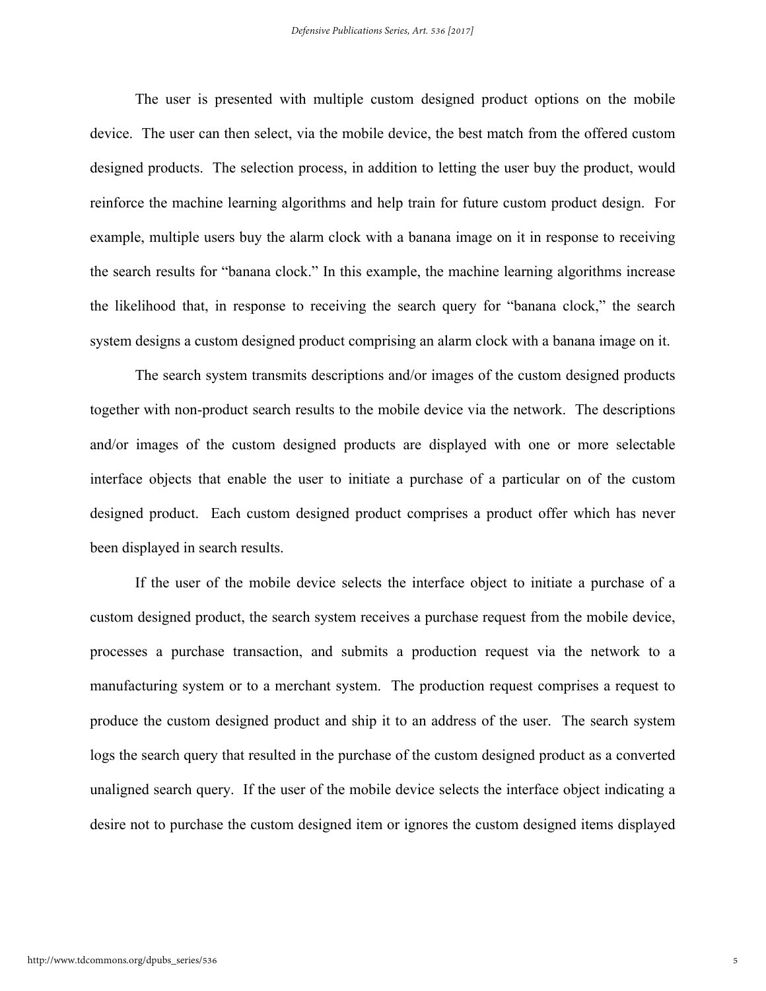The user is presented with multiple custom designed product options on the mobile device. The user can then select, via the mobile device, the best match from the offered custom designed products. The selection process, in addition to letting the user buy the product, would reinforce the machine learning algorithms and help train for future custom product design. For example, multiple users buy the alarm clock with a banana image on it in response to receiving the search results for "banana clock." In this example, the machine learning algorithms increase the likelihood that, in response to receiving the search query for "banana clock," the search system designs a custom designed product comprising an alarm clock with a banana image on it.

The search system transmits descriptions and/or images of the custom designed products together with non-product search results to the mobile device via the network. The descriptions and/or images of the custom designed products are displayed with one or more selectable interface objects that enable the user to initiate a purchase of a particular on of the custom designed product. Each custom designed product comprises a product offer which has never been displayed in search results.

If the user of the mobile device selects the interface object to initiate a purchase of a custom designed product, the search system receives a purchase request from the mobile device, processes a purchase transaction, and submits a production request via the network to a manufacturing system or to a merchant system. The production request comprises a request to produce the custom designed product and ship it to an address of the user. The search system logs the search query that resulted in the purchase of the custom designed product as a converted unaligned search query. If the user of the mobile device selects the interface object indicating a desire not to purchase the custom designed item or ignores the custom designed items displayed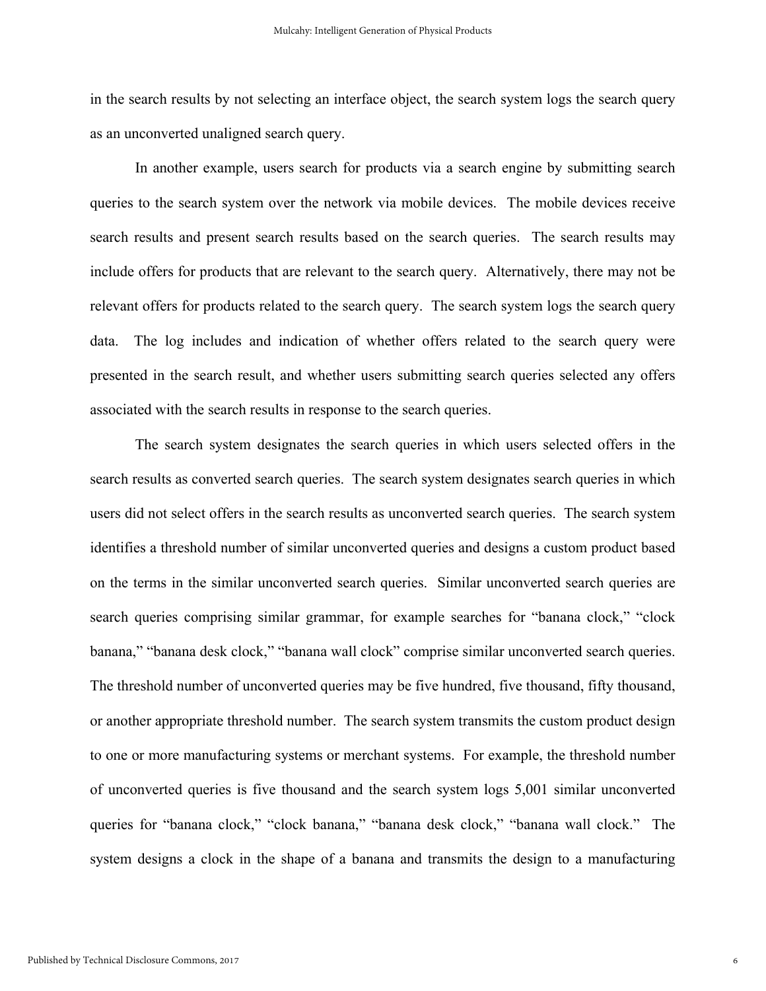in the search results by not selecting an interface object, the search system logs the search query as an unconverted unaligned search query.

In another example, users search for products via a search engine by submitting search queries to the search system over the network via mobile devices. The mobile devices receive search results and present search results based on the search queries. The search results may include offers for products that are relevant to the search query. Alternatively, there may not be relevant offers for products related to the search query. The search system logs the search query data. The log includes and indication of whether offers related to the search query were presented in the search result, and whether users submitting search queries selected any offers associated with the search results in response to the search queries.

The search system designates the search queries in which users selected offers in the search results as converted search queries. The search system designates search queries in which users did not select offers in the search results as unconverted search queries. The search system identifies a threshold number of similar unconverted queries and designs a custom product based on the terms in the similar unconverted search queries. Similar unconverted search queries are search queries comprising similar grammar, for example searches for "banana clock," "clock banana," "banana desk clock," "banana wall clock" comprise similar unconverted search queries. The threshold number of unconverted queries may be five hundred, five thousand, fifty thousand, or another appropriate threshold number. The search system transmits the custom product design to one or more manufacturing systems or merchant systems. For example, the threshold number of unconverted queries is five thousand and the search system logs 5,001 similar unconverted queries for "banana clock," "clock banana," "banana desk clock," "banana wall clock." The system designs a clock in the shape of a banana and transmits the design to a manufacturing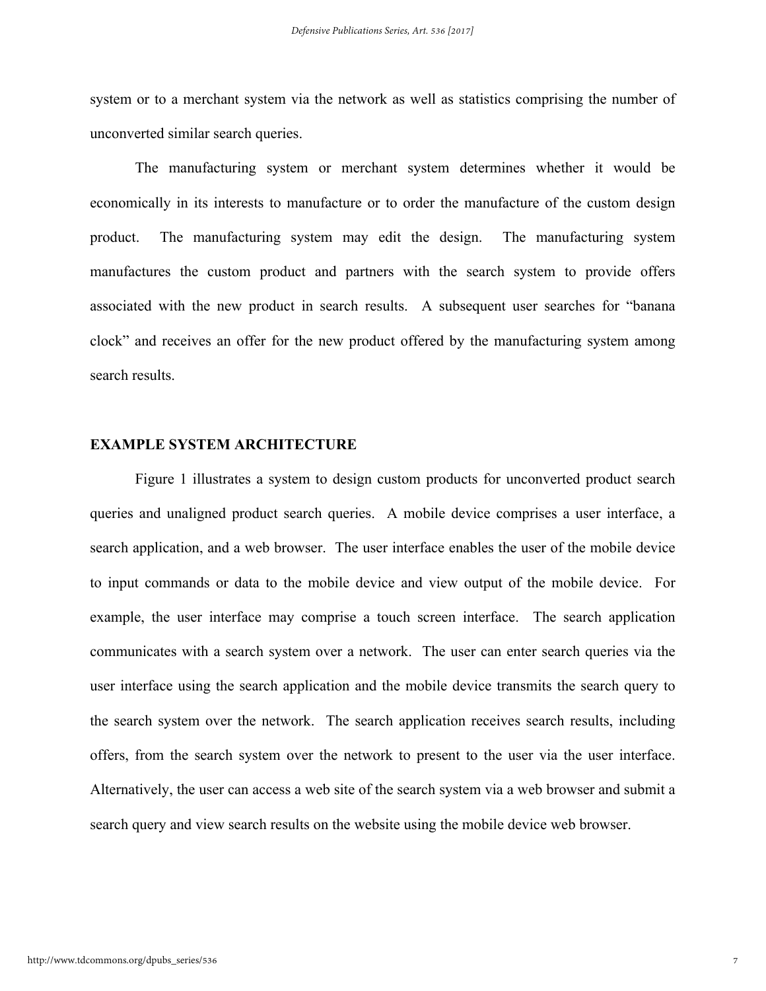system or to a merchant system via the network as well as statistics comprising the number of unconverted similar search queries.

The manufacturing system or merchant system determines whether it would be economically in its interests to manufacture or to order the manufacture of the custom design product. The manufacturing system may edit the design. The manufacturing system manufactures the custom product and partners with the search system to provide offers associated with the new product in search results. A subsequent user searches for "banana clock" and receives an offer for the new product offered by the manufacturing system among search results.

#### **EXAMPLE SYSTEM ARCHITECTURE**

Figure 1 illustrates a system to design custom products for unconverted product search queries and unaligned product search queries. A mobile device comprises a user interface, a search application, and a web browser. The user interface enables the user of the mobile device to input commands or data to the mobile device and view output of the mobile device. For example, the user interface may comprise a touch screen interface. The search application communicates with a search system over a network. The user can enter search queries via the user interface using the search application and the mobile device transmits the search query to the search system over the network. The search application receives search results, including offers, from the search system over the network to present to the user via the user interface. Alternatively, the user can access a web site of the search system via a web browser and submit a search query and view search results on the website using the mobile device web browser.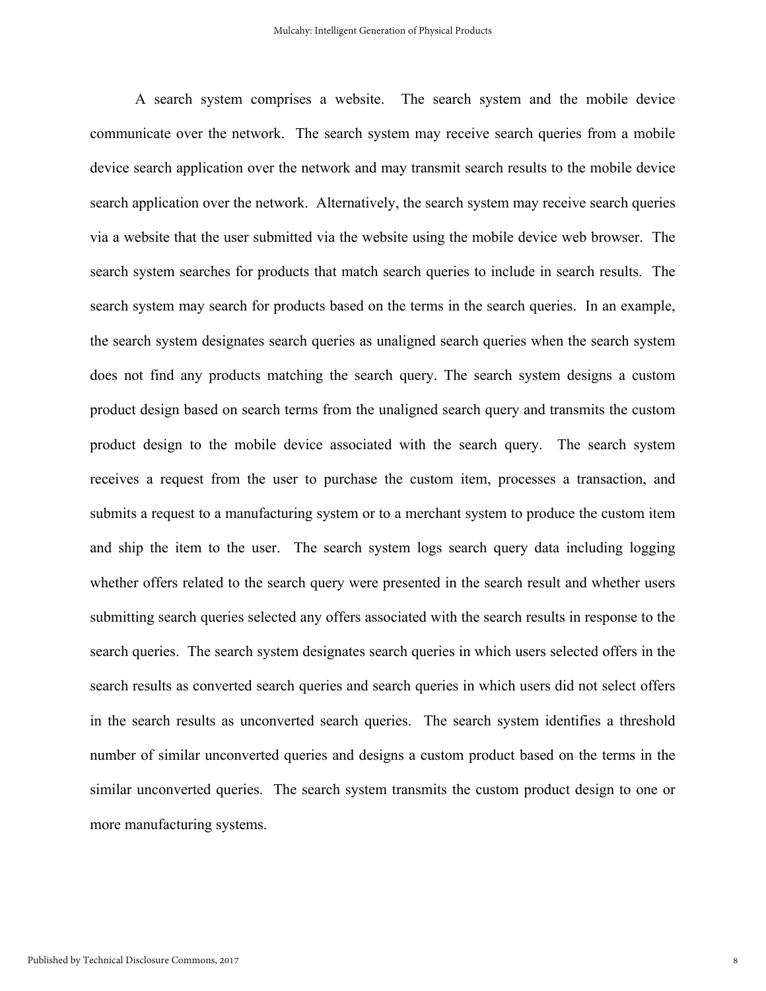A search system comprises a website. The search system and the mobile device communicate over the network. The search system may receive search queries from a mobile device search application over the network and may transmit search results to the mobile device search application over the network. Alternatively, the search system may receive search queries via a website that the user submitted via the website using the mobile device web browser. The search system searches for products that match search queries to include in search results. The search system may search for products based on the terms in the search queries. In an example, the search system designates search queries as unaligned search queries when the search system does not find any products matching the search query. The search system designs a custom product design based on search terms from the unaligned search query and transmits the custom product design to the mobile device associated with the search query. The search system receives a request from the user to purchase the custom item, processes a transaction, and submits a request to a manufacturing system or to a merchant system to produce the custom item and ship the item to the user. The search system logs search query data including logging whether offers related to the search query were presented in the search result and whether users submitting search queries selected any offers associated with the search results in response to the search queries. The search system designates search queries in which users selected offers in the search results as converted search queries and search queries in which users did not select offers in the search results as unconverted search queries. The search system identifies a threshold number of similar unconverted queries and designs a custom product based on the terms in the similar unconverted queries. The search system transmits the custom product design to one or more manufacturing systems.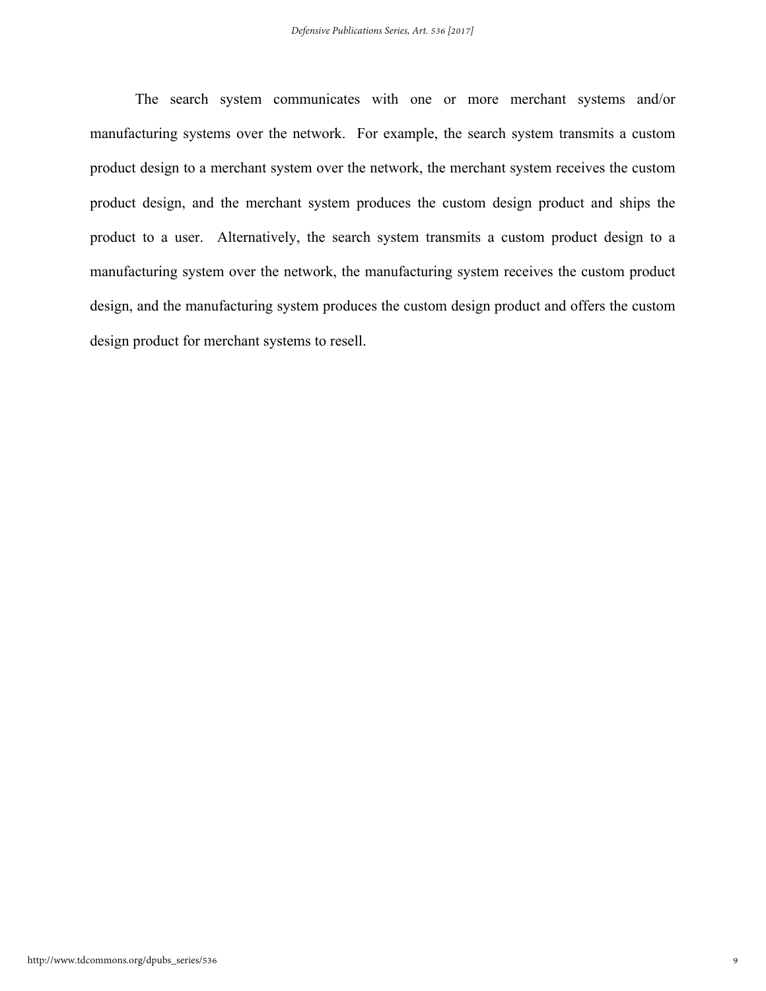The search system communicates with one or more merchant systems and/or manufacturing systems over the network. For example, the search system transmits a custom product design to a merchant system over the network, the merchant system receives the custom product design, and the merchant system produces the custom design product and ships the product to a user. Alternatively, the search system transmits a custom product design to a manufacturing system over the network, the manufacturing system receives the custom product design, and the manufacturing system produces the custom design product and offers the custom design product for merchant systems to resell.